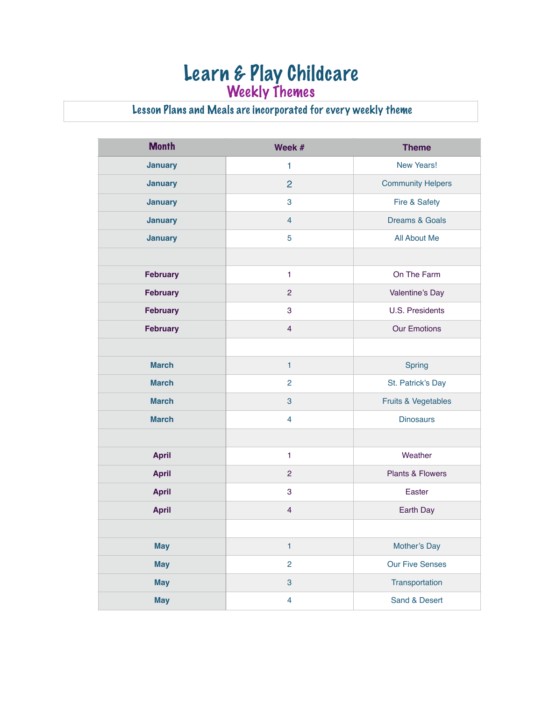## Learn & Play Childcare Weekly Themes

## Lesson Plans and Meals are incorporated for every weekly theme

| <b>Month</b>    | Week #         | <b>Theme</b>                   |
|-----------------|----------------|--------------------------------|
| <b>January</b>  | $\mathbf{1}$   | New Years!                     |
| <b>January</b>  | $\overline{2}$ | <b>Community Helpers</b>       |
| <b>January</b>  | 3              | Fire & Safety                  |
| <b>January</b>  | $\overline{4}$ | <b>Dreams &amp; Goals</b>      |
| <b>January</b>  | 5              | All About Me                   |
|                 |                |                                |
| <b>February</b> | 1              | On The Farm                    |
| <b>February</b> | 2              | Valentine's Day                |
| <b>February</b> | 3              | U.S. Presidents                |
| <b>February</b> | $\overline{4}$ | <b>Our Emotions</b>            |
|                 |                |                                |
| <b>March</b>    | $\mathbf{1}$   | Spring                         |
| <b>March</b>    | $\overline{2}$ | St. Patrick's Day              |
| <b>March</b>    | $\mathbf{3}$   | <b>Fruits &amp; Vegetables</b> |
| <b>March</b>    | $\overline{4}$ | <b>Dinosaurs</b>               |
|                 |                |                                |
| <b>April</b>    | 1              | Weather                        |
| <b>April</b>    | $\overline{2}$ | Plants & Flowers               |
| <b>April</b>    | 3              | Easter                         |
| <b>April</b>    | $\overline{4}$ | Earth Day                      |
|                 |                |                                |
| <b>May</b>      | 1              | Mother's Day                   |
| <b>May</b>      | $\overline{2}$ | <b>Our Five Senses</b>         |
| <b>May</b>      | $\mathbf{3}$   | Transportation                 |
| <b>May</b>      | $\overline{4}$ | Sand & Desert                  |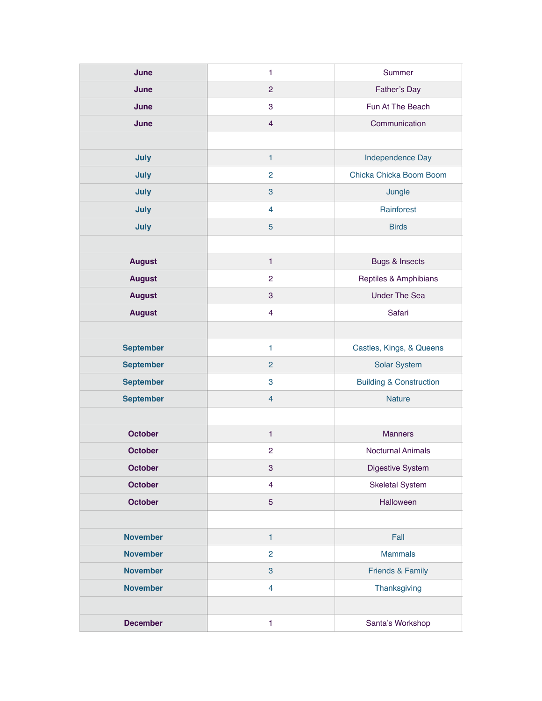| June             | $\mathbf{1}$              | Summer                             |
|------------------|---------------------------|------------------------------------|
| June             | $\overline{2}$            | Father's Day                       |
| June             | 3                         | Fun At The Beach                   |
| June             | $\overline{4}$            | Communication                      |
|                  |                           |                                    |
| July             | $\mathbf{1}$              | Independence Day                   |
| July             | $\overline{2}$            | Chicka Chicka Boom Boom            |
| July             | 3                         | Jungle                             |
| July             | $\overline{4}$            | Rainforest                         |
| July             | 5                         | <b>Birds</b>                       |
|                  |                           |                                    |
| <b>August</b>    | $\mathbf{1}$              | <b>Bugs &amp; Insects</b>          |
| <b>August</b>    | $\overline{2}$            | Reptiles & Amphibians              |
| <b>August</b>    | 3                         | <b>Under The Sea</b>               |
| <b>August</b>    | $\overline{\mathbf{4}}$   | Safari                             |
|                  |                           |                                    |
| <b>September</b> | $\mathbf{1}$              | Castles, Kings, & Queens           |
| <b>September</b> | $\overline{2}$            | <b>Solar System</b>                |
| <b>September</b> | 3                         | <b>Building &amp; Construction</b> |
| <b>September</b> | $\overline{4}$            | <b>Nature</b>                      |
|                  |                           |                                    |
| <b>October</b>   | $\mathbf{1}$              | <b>Manners</b>                     |
| <b>October</b>   | $\overline{c}$            | <b>Nocturnal Animals</b>           |
| <b>October</b>   | $\ensuremath{\mathsf{3}}$ | Digestive System                   |
| <b>October</b>   | $\overline{\mathbf{4}}$   | <b>Skeletal System</b>             |
| <b>October</b>   | 5                         | Halloween                          |
|                  |                           |                                    |
| <b>November</b>  | $\mathbf{1}$              | Fall                               |
| <b>November</b>  | $\overline{2}$            | <b>Mammals</b>                     |
| <b>November</b>  | $\mathbf{3}$              | Friends & Family                   |
| <b>November</b>  | $\overline{4}$            | Thanksgiving                       |
|                  |                           |                                    |
| <b>December</b>  | $\mathbf{1}$              | Santa's Workshop                   |